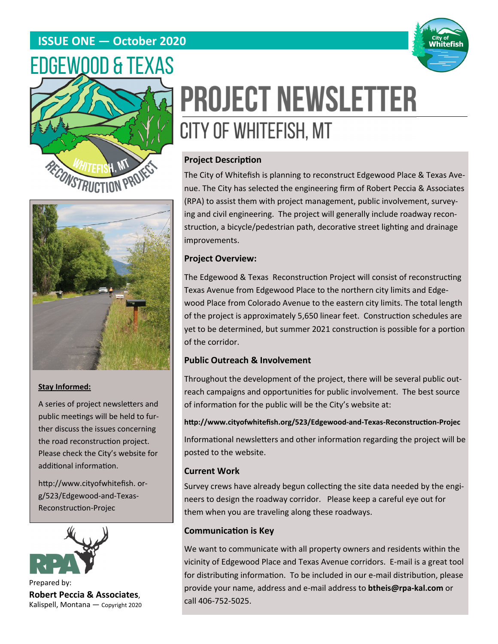# **ISSUE ONE — October 2020**







### **Stay Informed:**

A series of project newsletters and public meetings will be held to further discuss the issues concerning the road reconstruction project. Please check the City's website for additional information.

http://www.cityofwhitefish.org/523/Edgewood-and-Texas-Reconstruction-Projec



Prepared by: **Robert Peccia & Associates**, Kalispell, Montana — Copyright 2020

# **PROJECT NEWSLETTER** CITY OF WHITEFISH, MT

# **Project Description**

The City of Whitefish is planning to reconstruct Edgewood Place & Texas Avenue. The City has selected the engineering firm of Robert Peccia & Associates (RPA) to assist them with project management, public involvement, surveying and civil engineering. The project will generally include roadway reconstruction, a bicycle/pedestrian path, decorative street lighting and drainage improvements.

# **Project Overview:**

The Edgewood & Texas Reconstruction Project will consist of reconstructing Texas Avenue from Edgewood Place to the northern city limits and Edgewood Place from Colorado Avenue to the eastern city limits. The total length of the project is approximately 5,650 linear feet. Construction schedules are yet to be determined, but summer 2021 construction is possible for a portion of the corridor.

# **Public Outreach & Involvement**

Throughout the development of the project, there will be several public outreach campaigns and opportunities for public involvement. The best source of information for the public will be the City's website at:

**hƩp://www.cityofwhitefish.org/523/Edgewood‐and‐Texas‐ReconstrucƟon‐Projec** 

Informational newsletters and other information regarding the project will be posted to the website.

### **Current Work**

Survey crews have already begun collecting the site data needed by the engineers to design the roadway corridor. Please keep a careful eye out for them when you are traveling along these roadways.

# **CommunicaƟon is Key**

We want to communicate with all property owners and residents within the vicinity of Edgewood Place and Texas Avenue corridors. E-mail is a great tool for distributing information. To be included in our e-mail distribution, please provide your name, address and e-mail address to **btheis@rpa‐kal.com** or call 406-752-5025.